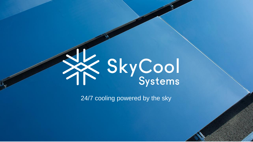

24/7 cooling powered by the sky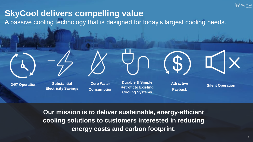

# **SkyCool delivers compelling value**

A passive cooling technology that is designed for today's largest cooling needs.







**24/7 Operation Substantial** 

**Electricity Savings**

**Zero Water Consumption**

**Durable & Simple Retrofit to Existing Cooling Systems**

**Attractive Payback**

**Silent Operation**

**Our mission is to deliver sustainable, energy-efficient cooling solutions to customers interested in reducing energy costs and carbon footprint.**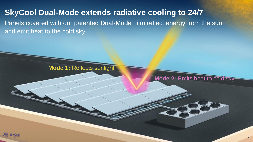#### **SkyCool Dual-Mode extends radiative cooling to 24/7**

Panels covered with our patented Dual-Mode Film reflect energy from the sun and emit heat to the cold sky.



**Mode 2:** Emits heat to cold sky

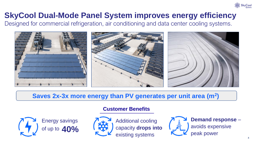

## **SkyCool Dual-Mode Panel System improves energy efficiency**

Designed for commercial refrigeration, air conditioning and data center cooling systems.



#### **Saves 2x-3x more energy than PV generates per unit area (m<sup>2</sup> )**



**Customer Benefits**



Additional cooling capacity **drops into**  existing systems

**Demand response** – avoids expensive peak power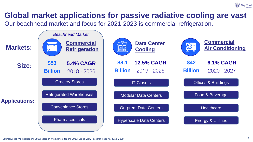

## **Global market applications for passive radiative cooling are vast**

Our beachhead market and focus for 2021-2023 is commercial refrigeration.

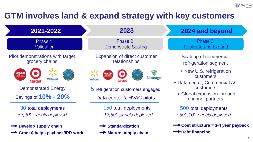

# **GTM involves land & expand strategy with key customers**

| 2021-2022                        | 2023                                | 2024 and beyond                   |
|----------------------------------|-------------------------------------|-----------------------------------|
| Phase 1:                         | Phase 2:                            | Phase 3:                          |
| <b>Validation</b>                | <b>Demonstrate Scaling</b>          | <b>Replicate and Expand</b>       |
| Pilot demonstrations with target | <b>Expansion of direct customer</b> | Scaleup of commercial             |
| grocery chains                   | relationships                       | refrigeration segment             |
| <b>ROCER</b>                     | ₩                                   | + New U.S. refrigeration          |
| <b>OUTLET</b>                    | <b>Lineage</b>                      | customers                         |
| Walmar                           | Walmart                             | + Data center, Commercial AC      |
| target                           | target                              | <b>customers</b>                  |
| <b>Demonstrated Energy</b>       | 5 refrigeration customers engaged   | + Global expansion through        |
| Savings of <b>10% - 20%</b>      | Data center & HVAC pilots           | channel partners                  |
| 30 total deployments             | 150 total deployments               | 500 total deployments             |
| $\sim$ 2,400 panels deployed     | $\sim$ 12,500 panels deployed       | $\sim$ 500,000 panels deployed    |
| <b>Develop supply chain</b>      | Standardization                     | Cost structure = 3-4 year payback |
| Grant \$ helps payback/IRR work  | $\rightarrow$ Mature supply chain   | $\rightarrow$ Debt financing      |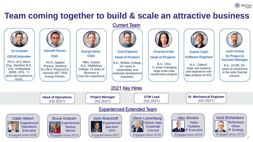

### **Team coming together to build & scale an attractive business**